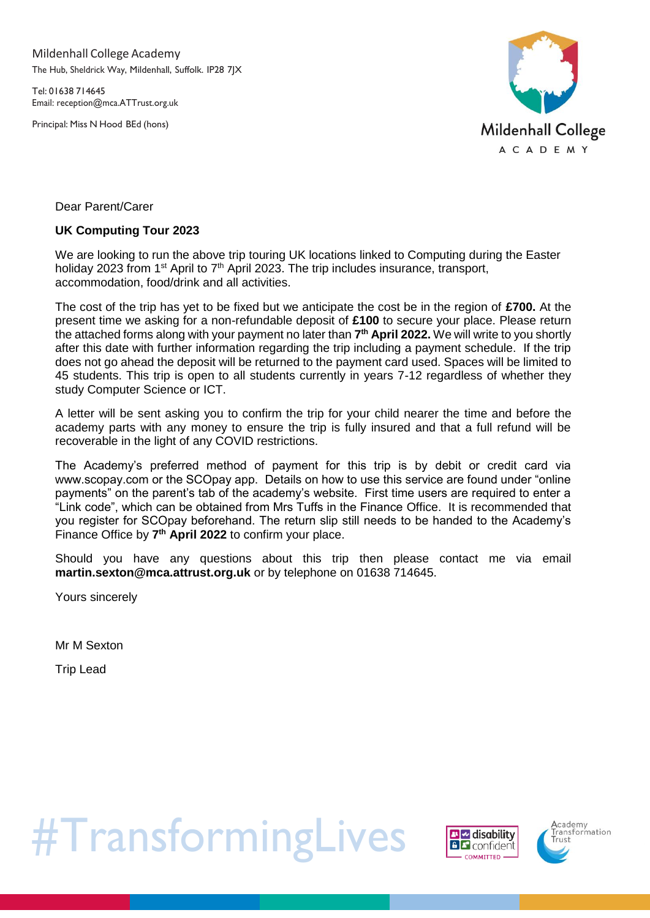Mildenhall College Academy The Hub, Sheldrick Way, Mildenhall, Suffolk. IP28 7JX

Tel: 01638 714645 Email: [reception@mca.ATTrust.org.uk](mailto:reception@mca.ATTrust.org.uk)

Principal: Miss N Hood BEd (hons)



Dear Parent/Carer

## **UK Computing Tour 2023**

We are looking to run the above trip touring UK locations linked to Computing during the Easter holiday 2023 from 1<sup>st</sup> April to  $7<sup>th</sup>$  April 2023. The trip includes insurance, transport, accommodation, food/drink and all activities.

The cost of the trip has yet to be fixed but we anticipate the cost be in the region of **£700.** At the present time we asking for a non-refundable deposit of **£100** to secure your place. Please return the attached forms along with your payment no later than **7 th April 2022.** We will write to you shortly after this date with further information regarding the trip including a payment schedule. If the trip does not go ahead the deposit will be returned to the payment card used. Spaces will be limited to 45 students. This trip is open to all students currently in years 7-12 regardless of whether they study Computer Science or ICT.

A letter will be sent asking you to confirm the trip for your child nearer the time and before the academy parts with any money to ensure the trip is fully insured and that a full refund will be recoverable in the light of any COVID restrictions.

The Academy's preferred method of payment for this trip is by debit or credit card via www.scopay.com or the SCOpay app. Details on how to use this service are found under "online payments" on the parent's tab of the academy's website. First time users are required to enter a "Link code", which can be obtained from Mrs Tuffs in the Finance Office. It is recommended that you register for SCOpay beforehand. The return slip still needs to be handed to the Academy's Finance Office by **7 th April 2022** to confirm your place.

Should you have any questions about this trip then please contact me via email **martin.sexton@mca.attrust.org.uk** or by telephone on 01638 714645.

Yours sincerely

Mr M Sexton

Trip Lead

#TransformingLives



**A**cademy<br>Fransformation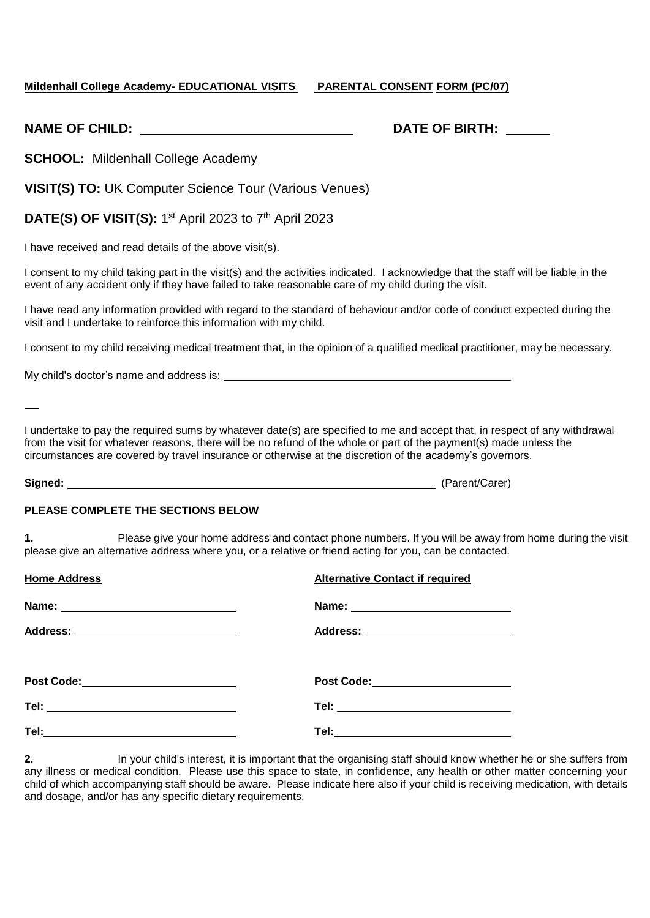### **Mildenhall College Academy- EDUCATIONAL VISITS PARENTAL CONSENT FORM (PC/07)**

|  | <b>NAME OF CHILD:</b> |  |
|--|-----------------------|--|
|  |                       |  |

# **NATE OF BIRTH:**

**SCHOOL:** Mildenhall College Academy

**VISIT(S) TO:** UK Computer Science Tour (Various Venues)

**DATE(S) OF VISIT(S):** 1<sup>st</sup> April 2023 to 7<sup>th</sup> April 2023

I have received and read details of the above visit(s).

I consent to my child taking part in the visit(s) and the activities indicated. I acknowledge that the staff will be liable in the event of any accident only if they have failed to take reasonable care of my child during the visit.

I have read any information provided with regard to the standard of behaviour and/or code of conduct expected during the visit and I undertake to reinforce this information with my child.

I consent to my child receiving medical treatment that, in the opinion of a qualified medical practitioner, may be necessary.

My child's doctor's name and address is: \_\_\_\_

I undertake to pay the required sums by whatever date(s) are specified to me and accept that, in respect of any withdrawal from the visit for whatever reasons, there will be no refund of the whole or part of the payment(s) made unless the circumstances are covered by travel insurance or otherwise at the discretion of the academy's governors.

**Signed:** (Parent/Carer)

#### **PLEASE COMPLETE THE SECTIONS BELOW**

**1.** Please give your home address and contact phone numbers. If you will be away from home during the visit please give an alternative address where you, or a relative or friend acting for you, can be contacted.

| <b>Home Address</b>                     | <b>Alternative Contact if required</b> |
|-----------------------------------------|----------------------------------------|
|                                         |                                        |
| Address: _____________________________  | Address: ________________________      |
| Post Code:___________________________   | Post Code: ______________________      |
| Tel: __________________________________ | Tel: ______________________________    |
|                                         | Tel:_______________________________    |

**2.** In your child's interest, it is important that the organising staff should know whether he or she suffers from any illness or medical condition. Please use this space to state, in confidence, any health or other matter concerning your child of which accompanying staff should be aware. Please indicate here also if your child is receiving medication, with details and dosage, and/or has any specific dietary requirements.